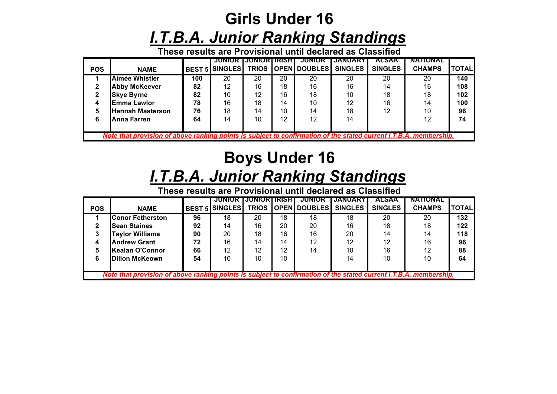## **Girls Under 16***I.T.B.A. Junior Ranking Standings*

**These results are Provisional until declared as Classified**

|                                                                                                                   |                         |     | <b>JUNIOR LJUNIOR LIRISH L</b> |    |    | JUNIOK             | JANUARY        | ALSAA          | <b>NATIONAL</b> |              |
|-------------------------------------------------------------------------------------------------------------------|-------------------------|-----|--------------------------------|----|----|--------------------|----------------|----------------|-----------------|--------------|
| <b>POS</b>                                                                                                        | <b>NAME</b>             |     | <b>BEST 5 SINGLES</b>          |    |    | TRIOS OPEN DOUBLES | <b>SINGLES</b> | <b>SINGLES</b> | <b>CHAMPS</b>   | <b>TOTAL</b> |
|                                                                                                                   | Aimée Whistler          | 100 | 20                             | 20 | 20 | 20                 | 20             | 20             | 20              | 140          |
|                                                                                                                   | <b>Abby McKeever</b>    | 82  | 12                             | 16 | 18 | 16                 | 16             | 14             | 16              | 108          |
|                                                                                                                   | <b>Skye Byrne</b>       | 82  | 10                             | 12 | 16 | 18                 | 10             | 18             | 18              | 102          |
|                                                                                                                   | <b>Emma Lawlor</b>      | 78  | 16                             | 18 | 14 | 10                 | 12             | 16             | 14              | 100          |
|                                                                                                                   | <b>Hannah Masterson</b> | 76  | 18                             | 14 | 10 | 14                 | 18             | 12             | 10              | 96           |
| 6                                                                                                                 | <b>Anna Farren</b>      | 64  | 14                             | 10 | 12 | 12                 | 14             |                | 12              | 74           |
|                                                                                                                   |                         |     |                                |    |    |                    |                |                |                 |              |
| Note that provision of above ranking points is subject to confirmation of the stated current I.T.B.A. membership. |                         |     |                                |    |    |                    |                |                |                 |              |

# **Boys Under 16**

#### *I.T.B.A. Junior Ranking Standings*

**These results are Provisional until declared as Classified**

|                                                                                                                   |                         |    | JUNIOR I              | I JUNIOR I IRISH I |    | <b>JUNIOR</b>              | <b>JANUARY</b> | <b>ALSAA</b>   | <b>NATIONAL</b> |              |
|-------------------------------------------------------------------------------------------------------------------|-------------------------|----|-----------------------|--------------------|----|----------------------------|----------------|----------------|-----------------|--------------|
| <b>POS</b>                                                                                                        | <b>NAME</b>             |    | <b>BEST 5 SINGLES</b> |                    |    | TRIOS OPEN DOUBLES SINGLES |                | <b>SINGLES</b> | <b>CHAMPS</b>   | <b>TOTAL</b> |
|                                                                                                                   | <b>Conor Fetherston</b> | 96 | 18                    | 20                 | 18 | 18                         | 18             | 20             | 20              | 132          |
|                                                                                                                   | <b>Sean Staines</b>     | 92 | 14                    | 16                 | 20 | 20                         | 16             | 18             | 18              | 122          |
|                                                                                                                   | <b>Taylor Williams</b>  | 90 | 20                    | 18                 | 16 | 16                         | 20             | 14             | 14              | 118          |
|                                                                                                                   | <b>Andrew Grant</b>     | 72 | 16                    | 14                 | 14 | 12                         | 12             | 12             | 16              | 96           |
|                                                                                                                   | <b>Kealan O'Connor</b>  | 66 | 12                    | 12                 | 12 | 14                         | 10             | 16             | 12              | 88           |
| 6                                                                                                                 | <b>IDillon McKeown</b>  | 54 | 10                    | 10                 | 10 |                            | 14             | 10             | 10              | 64           |
|                                                                                                                   |                         |    |                       |                    |    |                            |                |                |                 |              |
| Note that provision of above ranking points is subject to confirmation of the stated current I.T.B.A. membership. |                         |    |                       |                    |    |                            |                |                |                 |              |